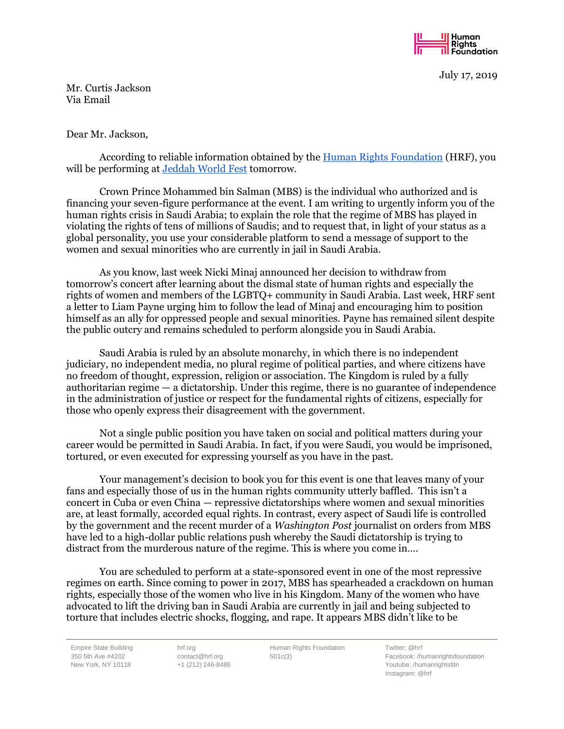

July 17, 2019

Mr. Curtis Jackson Via Email

## Dear Mr. Jackson,

According to reliable information obtained by the [Human Rights Foundation](https://hrf.org/) (HRF), you will be performing at [Jeddah World Fest](https://www.jeddahworldfest.com/) tomorrow.

Crown Prince Mohammed bin Salman (MBS) is the individual who authorized and is financing your seven-figure performance at the event. I am writing to urgently inform you of the human rights crisis in Saudi Arabia; to explain the role that the regime of MBS has played in violating the rights of tens of millions of Saudis; and to request that, in light of your status as a global personality, you use your considerable platform to send a message of support to the women and sexual minorities who are currently in jail in Saudi Arabia.

As you know, last week Nicki Minaj announced her decision to withdraw from tomorrow's concert after learning about the dismal state of human rights and especially the rights of women and members of the LGBTQ+ community in Saudi Arabia. Last week, HRF sent a letter to Liam Payne urging him to follow the lead of Minaj and encouraging him to position himself as an ally for oppressed people and sexual minorities. Payne has remained silent despite the public outcry and remains scheduled to perform alongside you in Saudi Arabia.

Saudi Arabia is ruled by an absolute monarchy, in which there is no independent judiciary, no independent media, no plural regime of political parties, and where citizens have no freedom of thought, expression, religion or association. The Kingdom is ruled by a fully authoritarian regime — a dictatorship. Under this regime, there is no guarantee of independence in the administration of justice or respect for the fundamental rights of citizens, especially for those who openly express their disagreement with the government.

Not a single public position you have taken on social and political matters during your career would be permitted in Saudi Arabia. In fact, if you were Saudi, you would be imprisoned, tortured, or even executed for expressing yourself as you have in the past.

Your management's decision to book you for this event is one that leaves many of your fans and especially those of us in the human rights community utterly baffled. This isn't a concert in Cuba or even China — repressive dictatorships where women and sexual minorities are, at least formally, accorded equal rights. In contrast, every aspect of Saudi life is controlled by the government and the recent murder of a *Washington Post* journalist on orders from MBS have led to a high-dollar public relations push whereby the Saudi dictatorship is trying to distract from the murderous nature of the regime. This is where you come in….

You are scheduled to perform at a state-sponsored event in one of the most repressive regimes on earth. Since coming to power in 2017, MBS has spearheaded a crackdown on human rights, especially those of the women who live in his Kingdom. Many of the women who have advocated to lift the driving ban in Saudi Arabia are currently in jail and being subjected to torture that includes electric shocks, flogging, and rape. It appears MBS didn't like to be

Empire State Building 350 5th Ave #4202 New York, NY 10118

hrf.org contact@hrf.org +1 (212) 246-8486

Human Rights Foundation 501c(3)

Twitter: @hrf Facebook: /humanrightsfoundation Youtube: /humanrightsfdn Instagram: @hrf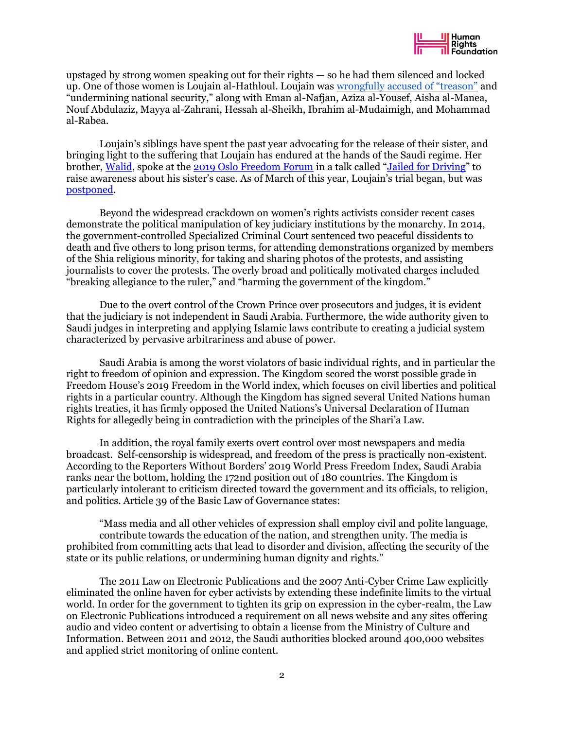upstaged by strong women speaking out for their rights — so he had them silenced and locked up. One of those women is Loujain al-Hathloul. Loujain was [wrongfully accused of "treason"](https://mailchi.mp/d92f77ae0bae/saudi-arabia-cracks-down-on-activists-before-ending-the-driving-ban?e=d6a27fd2e5) and "undermining national security," along with Eman al-Nafjan, Aziza al-Yousef, Aisha al-Manea, Nouf Abdulaziz, Mayya al-Zahrani, Hessah al-Sheikh, Ibrahim al-Mudaimigh, and Mohammad al-Rabea.

Loujain's siblings have spent the past year advocating for the release of their sister, and bringing light to the suffering that Loujain has endured at the hands of the Saudi regime. Her brother, [Walid,](https://oslofreedomforum.com/speakers/walid-al-hathloul) spoke at the [2019 Oslo Freedom Forum](https://hrf.org/events_talks/jailed-for-driving/) in a talk called "[Jailed for Driving](https://www.youtube.com/watch?v=1EZco1VGI4k)" to raise awareness about his sister's case. As of March of this year, Loujain's trial began, but was [postponed.](https://www.nytimes.com/2019/06/24/world/middleeast/saudi-driving-ban-anniversary.html)

Beyond the widespread crackdown on women's rights activists consider recent cases demonstrate the political manipulation of key judiciary institutions by the monarchy. In 2014, the government-controlled Specialized Criminal Court sentenced two peaceful dissidents to death and five others to long prison terms, for attending demonstrations organized by members of the Shia religious minority, for taking and sharing photos of the protests, and assisting journalists to cover the protests. The overly broad and politically motivated charges included "breaking allegiance to the ruler," and "harming the government of the kingdom."

Due to the overt control of the Crown Prince over prosecutors and judges, it is evident that the judiciary is not independent in Saudi Arabia. Furthermore, the wide authority given to Saudi judges in interpreting and applying Islamic laws contribute to creating a judicial system characterized by pervasive arbitrariness and abuse of power.

Saudi Arabia is among the worst violators of basic individual rights, and in particular the right to freedom of opinion and expression. The Kingdom scored the worst possible grade in Freedom House's 2019 Freedom in the World index, which focuses on civil liberties and political rights in a particular country. Although the Kingdom has signed several United Nations human rights treaties, it has firmly opposed the United Nations's Universal Declaration of Human Rights for allegedly being in contradiction with the principles of the Shari'a Law.

In addition, the royal family exerts overt control over most newspapers and media broadcast. Self-censorship is widespread, and freedom of the press is practically non-existent. According to the Reporters Without Borders' 2019 World Press Freedom Index, Saudi Arabia ranks near the bottom, holding the 172nd position out of 180 countries. The Kingdom is particularly intolerant to criticism directed toward the government and its officials, to religion, and politics. Article 39 of the Basic Law of Governance states:

"Mass media and all other vehicles of expression shall employ civil and polite language, contribute towards the education of the nation, and strengthen unity. The media is prohibited from committing acts that lead to disorder and division, affecting the security of the state or its public relations, or undermining human dignity and rights."

The 2011 Law on Electronic Publications and the 2007 Anti-Cyber Crime Law explicitly eliminated the online haven for cyber activists by extending these indefinite limits to the virtual world. In order for the government to tighten its grip on expression in the cyber-realm, the Law on Electronic Publications introduced a requirement on all news website and any sites offering audio and video content or advertising to obtain a license from the Ministry of Culture and Information. Between 2011 and 2012, the Saudi authorities blocked around 400,000 websites and applied strict monitoring of online content.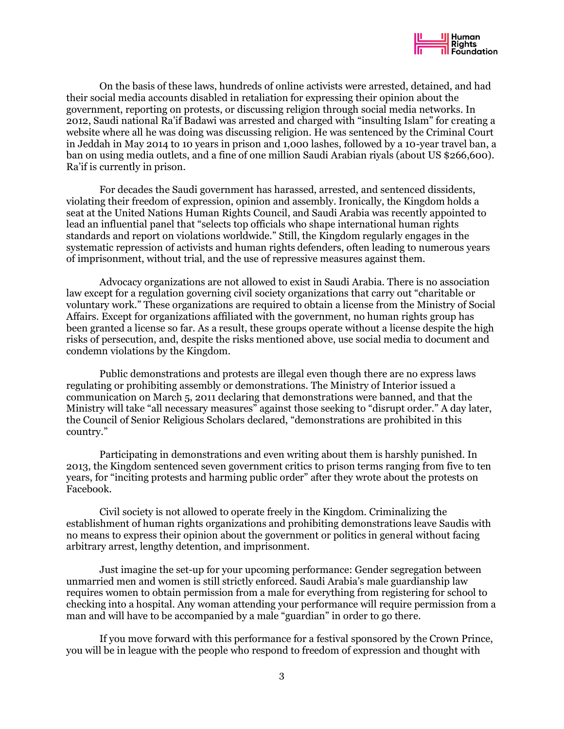

On the basis of these laws, hundreds of online activists were arrested, detained, and had their social media accounts disabled in retaliation for expressing their opinion about the government, reporting on protests, or discussing religion through social media networks. In 2012, Saudi national Ra'if Badawi was arrested and charged with "insulting Islam" for creating a website where all he was doing was discussing religion. He was sentenced by the Criminal Court in Jeddah in May 2014 to 10 years in prison and 1,000 lashes, followed by a 10-year travel ban, a ban on using media outlets, and a fine of one million Saudi Arabian riyals (about US \$266,600). Ra'if is currently in prison.

For decades the Saudi government has harassed, arrested, and sentenced dissidents, violating their freedom of expression, opinion and assembly. Ironically, the Kingdom holds a seat at the United Nations Human Rights Council, and Saudi Arabia was recently appointed to lead an influential panel that "selects top officials who shape international human rights standards and report on violations worldwide." Still, the Kingdom regularly engages in the systematic repression of activists and human rights defenders, often leading to numerous years of imprisonment, without trial, and the use of repressive measures against them.

Advocacy organizations are not allowed to exist in Saudi Arabia. There is no association law except for a regulation governing civil society organizations that carry out "charitable or voluntary work." These organizations are required to obtain a license from the Ministry of Social Affairs. Except for organizations affiliated with the government, no human rights group has been granted a license so far. As a result, these groups operate without a license despite the high risks of persecution, and, despite the risks mentioned above, use social media to document and condemn violations by the Kingdom.

Public demonstrations and protests are illegal even though there are no express laws regulating or prohibiting assembly or demonstrations. The Ministry of Interior issued a communication on March 5, 2011 declaring that demonstrations were banned, and that the Ministry will take "all necessary measures" against those seeking to "disrupt order." A day later, the Council of Senior Religious Scholars declared, "demonstrations are prohibited in this country."

Participating in demonstrations and even writing about them is harshly punished. In 2013, the Kingdom sentenced seven government critics to prison terms ranging from five to ten years, for "inciting protests and harming public order" after they wrote about the protests on Facebook.

Civil society is not allowed to operate freely in the Kingdom. Criminalizing the establishment of human rights organizations and prohibiting demonstrations leave Saudis with no means to express their opinion about the government or politics in general without facing arbitrary arrest, lengthy detention, and imprisonment.

Just imagine the set-up for your upcoming performance: Gender segregation between unmarried men and women is still strictly enforced. Saudi Arabia's male guardianship law requires women to obtain permission from a male for everything from registering for school to checking into a hospital. Any woman attending your performance will require permission from a man and will have to be accompanied by a male "guardian" in order to go there.

If you move forward with this performance for a festival sponsored by the Crown Prince, you will be in league with the people who respond to freedom of expression and thought with